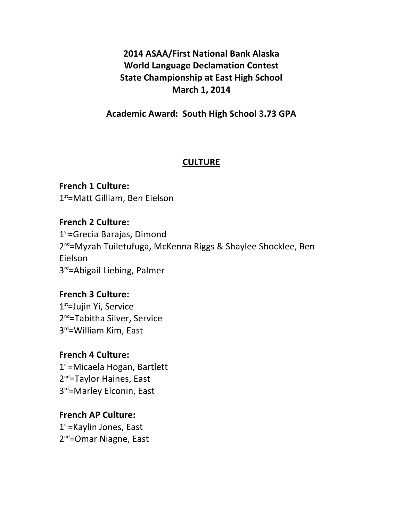**2014 ASAA/First National Bank Alaska World Language Declamation Contest State Championship at East High School March 1, 2014**

**Academic Award: South High School 3.73 GPA**

#### **CULTURE**

**French 1 Culture:**  $1<sup>st</sup>$ =Matt Gilliam, Ben Eielson

**French 2 Culture:**  $1<sup>st</sup>=Grecia Barajas, Dimond$ 2<sup>nd</sup>=Myzah Tuiletufuga, McKenna Riggs & Shaylee Shocklee, Ben Eielson 3<sup>rd</sup>=Abigail Liebing, Palmer

**French 3 Culture:** 1<sup>st</sup>=Jujin Yi, Service 2<sup>nd</sup>=Tabitha Silver, Service 3<sup>rd</sup>=William Kim, East

#### **French 4 Culture:**

 $1<sup>st</sup>$ =Micaela Hogan, Bartlett 2<sup>nd</sup>=Taylor Haines, East 3<sup>rd</sup>=Marley Elconin, East

# **French AP Culture:**

 $1<sup>st</sup>$ =Kaylin Jones, East 2<sup>nd</sup>=Omar Niagne, East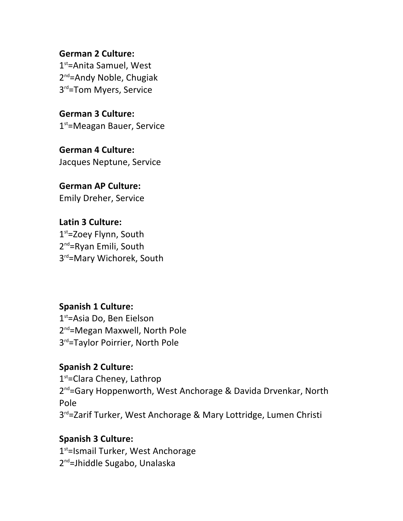**German 2 Culture:** 1<sup>st</sup>=Anita Samuel, West 2<sup>nd</sup>=Andy Noble, Chugiak 3<sup>rd</sup>=Tom Myers, Service

**German 3 Culture:**  $1<sup>st</sup>$ =Meagan Bauer, Service

**German 4 Culture:** Jacques Neptune, Service

**German AP Culture:** Emily Dreher, Service

**Latin 3 Culture:**  $1<sup>st</sup>$ =Zoey Flynn, South  $2^{nd}$ =Ryan Emili, South 3<sup>rd</sup>=Mary Wichorek, South

**Spanish 1 Culture:** 1<sup>st</sup>=Asia Do, Ben Eielson  $2^{nd}$ =Megan Maxwell, North Pole 3<sup>rd</sup>=Taylor Poirrier, North Pole

**Spanish 2 Culture:**  $1<sup>st</sup>$ =Clara Cheney, Lathrop 2<sup>nd</sup>=Gary Hoppenworth, West Anchorage & Davida Drvenkar, North Pole  $3<sup>rd</sup>$ =Zarif Turker, West Anchorage & Mary Lottridge, Lumen Christi

# **Spanish 3 Culture:** 1<sup>st</sup>=Ismail Turker, West Anchorage 2<sup>nd</sup>=Jhiddle Sugabo, Unalaska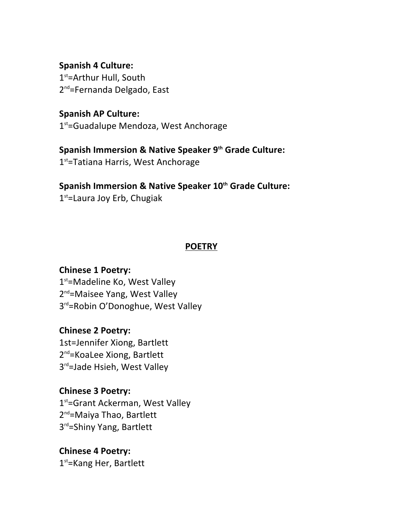**Spanish 4 Culture:**  $1<sup>st</sup>$ =Arthur Hull, South 2<sup>nd</sup>=Fernanda Delgado, East

**Spanish AP Culture:**  $1<sup>st</sup>$ =Guadalupe Mendoza, West Anchorage

**Spanish Immersion & Native Speaker 9th Grade Culture:** 1<sup>st</sup>=Tatiana Harris, West Anchorage

**Spanish Immersion & Native Speaker 10th Grade Culture:** 

 $1<sup>st</sup>$ =Laura Joy Erb, Chugiak

# **POETRY**

**Chinese 1 Poetry:**

1<sup>st</sup>=Madeline Ko, West Valley 2<sup>nd</sup>=Maisee Yang, West Valley 3<sup>rd</sup>=Robin O'Donoghue, West Valley

**Chinese 2 Poetry:** 1st=Jennifer Xiong, Bartlett 2<sup>nd</sup>=KoaLee Xiong, Bartlett 3<sup>rd</sup>=Jade Hsieh, West Valley

**Chinese 3 Poetry:** 1<sup>st</sup>=Grant Ackerman, West Valley 2<sup>nd</sup>=Maiya Thao, Bartlett 3rd=Shiny Yang, Bartlett

**Chinese 4 Poetry:**  $1<sup>st</sup>$ =Kang Her, Bartlett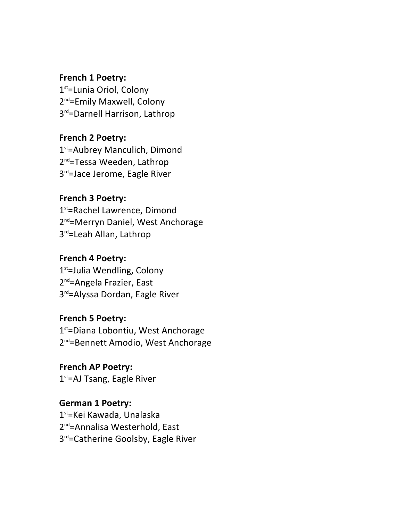#### **French 1 Poetry:**

1<sup>st</sup>=Lunia Oriol, Colony 2<sup>nd</sup>=Emily Maxwell, Colony 3<sup>rd</sup>=Darnell Harrison, Lathrop

# **French 2 Poetry:**

1<sup>st</sup>=Aubrey Manculich, Dimond 2<sup>nd</sup>=Tessa Weeden, Lathrop 3<sup>rd</sup>=Jace Jerome, Eagle River

### **French 3 Poetry:**

1<sup>st</sup>=Rachel Lawrence, Dimond 2<sup>nd</sup>=Merryn Daniel, West Anchorage 3<sup>rd</sup>=Leah Allan, Lathrop

### **French 4 Poetry:**

 $1<sup>st</sup>=$ Julia Wendling, Colony 2<sup>nd</sup>=Angela Frazier, East 3rd=Alyssa Dordan, Eagle River

### **French 5 Poetry:**

 $1<sup>st</sup>$ =Diana Lobontiu, West Anchorage 2<sup>nd</sup>=Bennett Amodio, West Anchorage

**French AP Poetry:**  $1<sup>st</sup>$ =AJ Tsang, Eagle River

**German 1 Poetry:** 1<sup>st</sup>=Kei Kawada, Unalaska 2<sup>nd</sup>=Annalisa Westerhold, East 3<sup>rd</sup>=Catherine Goolsby, Eagle River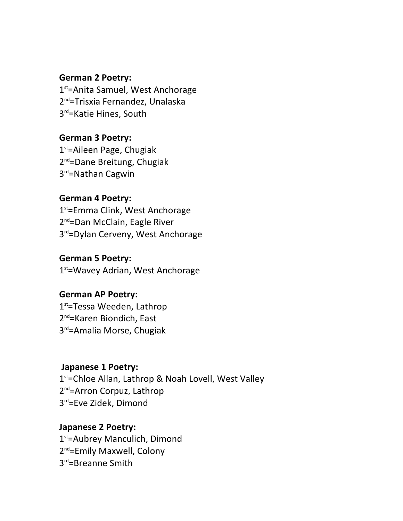#### **German 2 Poetry:**

1<sup>st</sup>=Anita Samuel, West Anchorage 2<sup>nd</sup>=Trisxia Fernandez, Unalaska 3<sup>rd</sup>=Katie Hines, South

# **German 3 Poetry:**

 $1<sup>st</sup>$ =Aileen Page, Chugiak 2<sup>nd</sup>=Dane Breitung, Chugiak  $3<sup>rd</sup>$ =Nathan Cagwin

#### **German 4 Poetry:**

1<sup>st</sup>=Emma Clink, West Anchorage 2<sup>nd</sup>=Dan McClain, Eagle River 3<sup>rd</sup>=Dylan Cerveny, West Anchorage

#### **German 5 Poetry:**

1<sup>st</sup>=Wavey Adrian, West Anchorage

### **German AP Poetry:**

1<sup>st</sup>=Tessa Weeden, Lathrop 2<sup>nd</sup>=Karen Biondich, East 3<sup>rd</sup>=Amalia Morse, Chugiak

#### **Japanese 1 Poetry:**

 $1<sup>st</sup>$ =Chloe Allan, Lathrop & Noah Lovell, West Valley 2<sup>nd</sup>=Arron Corpuz, Lathrop 3<sup>rd</sup>=Eve Zidek, Dimond

### **Japanese 2 Poetry:**

1<sup>st</sup>=Aubrey Manculich, Dimond 2<sup>nd</sup>=Emily Maxwell, Colony 3<sup>rd</sup>=Breanne Smith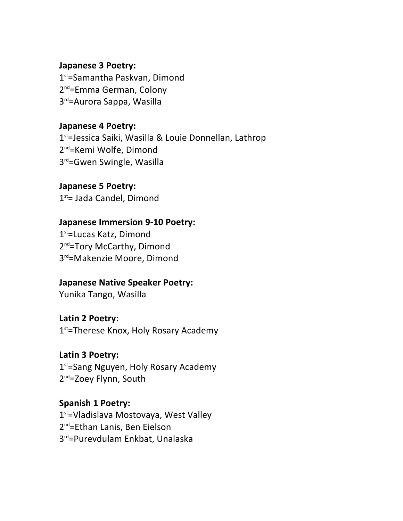#### **Japanese 3 Poetry:**

1<sup>st</sup>=Samantha Paskvan, Dimond 2<sup>nd</sup>=Emma German, Colony 3<sup>rd</sup>=Aurora Sappa, Wasilla

**Japanese 4 Poetry:**  $1<sup>st</sup>=Jessica Saiki, Wasilla & Louise Donnellan, Lathrop$ 2<sup>nd</sup>=Kemi Wolfe, Dimond 3<sup>rd</sup>=Gwen Swingle, Wasilla

**Japanese 5 Poetry:**  $1<sup>st</sup>$  Jada Candel, Dimond

### **Japanese Immersion 9-10 Poetry:**

1<sup>st</sup>=Lucas Katz, Dimond 2<sup>nd</sup>=Tory McCarthy, Dimond 3<sup>rd</sup>=Makenzie Moore, Dimond

#### **Japanese Native Speaker Poetry:**

Yunika Tango, Wasilla

**Latin 2 Poetry:**

 $1<sup>st</sup>$ =Therese Knox, Holy Rosary Academy

### Latin 3 Poetry:

 $1<sup>st</sup>$ =Sang Nguyen, Holy Rosary Academy 2<sup>nd</sup>=Zoey Flynn, South

# **Spanish 1 Poetry:**

1<sup>st</sup>=Vladislava Mostovaya, West Valley 2<sup>nd</sup>=Ethan Lanis, Ben Eielson 3<sup>rd</sup>=Purevdulam Enkbat, Unalaska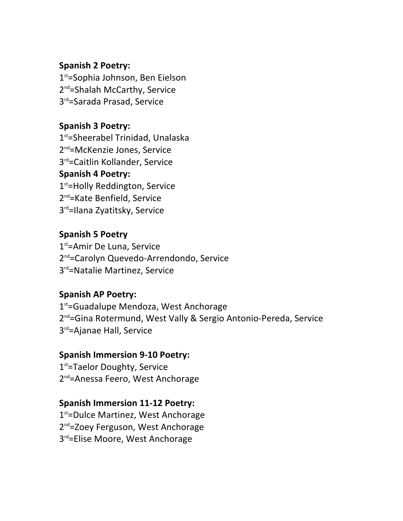### **Spanish 2 Poetry:**

 $1<sup>st</sup>=$ Sophia Johnson, Ben Eielson 2<sup>nd</sup>=Shalah McCarthy, Service 3<sup>rd</sup>=Sarada Prasad, Service

# **Spanish 3 Poetry:**

 $1<sup>st</sup>$ =Sheerabel Trinidad, Unalaska 2<sup>nd</sup>=McKenzie Jones, Service 3<sup>rd</sup>=Caitlin Kollander, Service **Spanish 4 Poetry:**  $1<sup>st</sup>$ =Holly Reddington, Service  $2^{nd}$ =Kate Benfield, Service 3<sup>rd</sup>=Ilana Zyatitsky, Service

**Spanish 5 Poetry**  $1<sup>st</sup>$ =Amir De Luna, Service 2<sup>nd</sup>=Carolyn Quevedo-Arrendondo, Service 3<sup>rd</sup>=Natalie Martinez, Service

### **Spanish AP Poetry:**

 $1<sup>st</sup>$ =Guadalupe Mendoza, West Anchorage 2<sup>nd</sup>=Gina Rotermund, West Vally & Sergio Antonio-Pereda, Service 3<sup>rd</sup>=Ajanae Hall, Service

### **Spanish Immersion 9-10 Poetry:**

 $1<sup>st</sup>$ =Taelor Doughty, Service 2<sup>nd</sup>=Anessa Feero, West Anchorage

### **Spanish Immersion 11-12 Poetry:**

1<sup>st</sup>=Dulce Martinez, West Anchorage 2<sup>nd</sup>=Zoey Ferguson, West Anchorage 3<sup>rd</sup>=Elise Moore, West Anchorage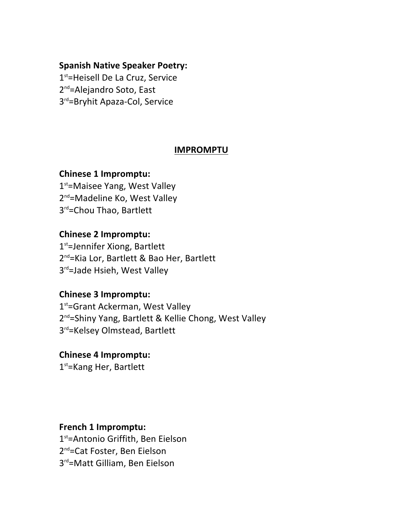### **Spanish Native Speaker Poetry:**

1<sup>st</sup>=Heisell De La Cruz, Service 2<sup>nd</sup>=Alejandro Soto, East 3<sup>rd</sup>=Bryhit Apaza-Col, Service

# **IMPROMPTU**

### **Chinese 1 Impromptu:**

 $1<sup>st</sup>$ =Maisee Yang, West Valley  $2^{nd}$ =Madeline Ko, West Valley 3<sup>rd</sup>=Chou Thao, Bartlett

### **Chinese 2 Impromptu:**

 $1<sup>st</sup>=Jennifer Xiong, Bartlett$ 2<sup>nd</sup>=Kia Lor, Bartlett & Bao Her, Bartlett 3rd=Jade Hsieh, West Valley

### **Chinese 3 Impromptu:**

1<sup>st</sup>=Grant Ackerman, West Valley 2<sup>nd</sup>=Shiny Yang, Bartlett & Kellie Chong, West Valley 3<sup>rd</sup>=Kelsey Olmstead, Bartlett

#### **Chinese 4 Impromptu:**

 $1<sup>st</sup>$ =Kang Her, Bartlett

#### **French 1 Impromptu:**

1<sup>st</sup>=Antonio Griffith, Ben Eielson 2<sup>nd</sup>=Cat Foster, Ben Eielson 3<sup>rd</sup>=Matt Gilliam, Ben Eielson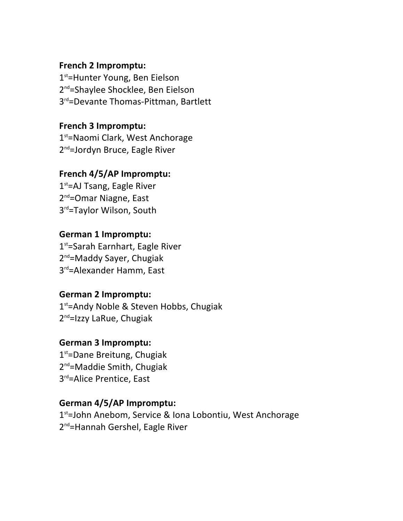### **French 2 Impromptu:**

 $1<sup>st</sup>$ =Hunter Young, Ben Eielson 2<sup>nd</sup>=Shaylee Shocklee, Ben Eielson 3<sup>rd</sup>=Devante Thomas-Pittman, Bartlett

# **French 3 Impromptu:**

 $1<sup>st</sup>$ =Naomi Clark, West Anchorage  $2^{nd}$ =Jordyn Bruce, Eagle River

### **French 4/5/AP Impromptu:**

 $1<sup>st</sup>$ =AJ Tsang, Eagle River 2<sup>nd</sup>=Omar Niagne, East 3<sup>rd</sup>=Taylor Wilson, South

# **German 1 Impromptu:**

 $1<sup>st</sup>=$ Sarah Earnhart, Eagle River 2<sup>nd</sup>=Maddy Sayer, Chugiak 3<sup>rd</sup>=Alexander Hamm, East

### **German 2 Impromptu:**

 $1<sup>st</sup>$ =Andy Noble & Steven Hobbs, Chugiak  $2^{nd}$ =Izzy LaRue, Chugiak

### **German 3 Impromptu:**

 $1<sup>st</sup>=$ Dane Breitung, Chugiak 2<sup>nd</sup>=Maddie Smith, Chugiak 3<sup>rd</sup>=Alice Prentice, East

### **German 4/5/AP Impromptu:**

1<sup>st</sup>=John Anebom, Service & Iona Lobontiu, West Anchorage 2<sup>nd</sup>=Hannah Gershel, Eagle River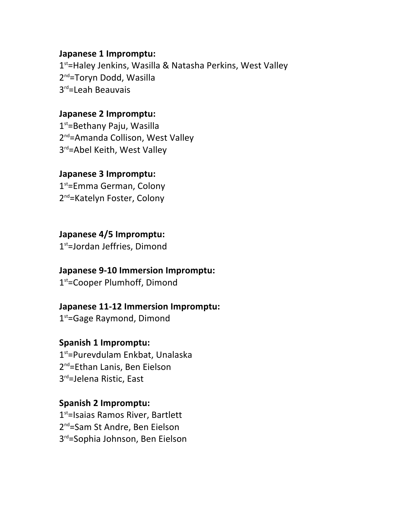#### **Japanese 1 Impromptu:**

1<sup>st</sup>=Haley Jenkins, Wasilla & Natasha Perkins, West Valley 2<sup>nd</sup>=Toryn Dodd, Wasilla 3<sup>rd</sup>=Leah Beauvais

### **Japanese 2 Impromptu:**

 $1<sup>st</sup>=Bethany Paju, Wasilla$ 2<sup>nd</sup>=Amanda Collison, West Valley 3rd=Abel Keith, West Valley

### **Japanese 3 Impromptu:**

 $1<sup>st</sup>$ =Emma German, Colony 2<sup>nd</sup>=Katelyn Foster, Colony

**Japanese 4/5 Impromptu:**

 $1<sup>st</sup>=Jordan Jeffries, Dimond$ 

#### **Japanese 9-10 Immersion Impromptu:**

1<sup>st</sup>=Cooper Plumhoff, Dimond

**Japanese 11-12 Immersion Impromptu:**

 $1<sup>st</sup>=Gage$  Raymond, Dimond

### **Spanish 1 Impromptu:**

 $1<sup>st</sup>$ =Purevdulam Enkbat, Unalaska 2<sup>nd</sup>=Ethan Lanis, Ben Eielson 3<sup>rd</sup>=Jelena Ristic, East

#### **Spanish 2 Impromptu:**

1<sup>st</sup>=Isaias Ramos River, Bartlett 2<sup>nd</sup>=Sam St Andre, Ben Eielson 3<sup>rd</sup>=Sophia Johnson, Ben Eielson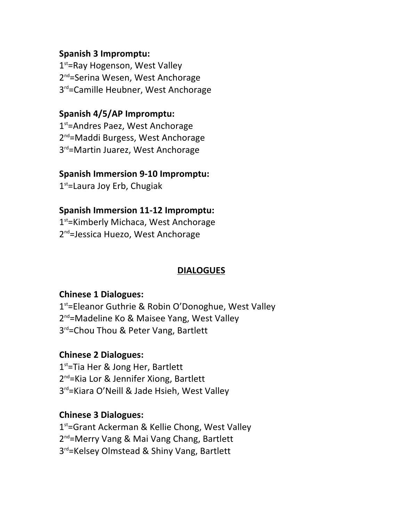# **Spanish 3 Impromptu:**

 $1<sup>st</sup>$ =Ray Hogenson, West Valley 2<sup>nd</sup>=Serina Wesen, West Anchorage 3<sup>rd</sup>=Camille Heubner, West Anchorage

# **Spanish 4/5/AP Impromptu:**

1<sup>st</sup>=Andres Paez, West Anchorage 2<sup>nd</sup>=Maddi Burgess, West Anchorage 3<sup>rd</sup>=Martin Juarez, West Anchorage

### **Spanish Immersion 9-10 Impromptu:**

 $1<sup>st</sup>$ =Laura Joy Erb, Chugiak

### **Spanish Immersion 11-12 Impromptu:**

1<sup>st</sup>=Kimberly Michaca, West Anchorage 2<sup>nd</sup>=Jessica Huezo, West Anchorage

# **DIALOGUES**

### **Chinese 1 Dialogues:**

 $1<sup>st</sup>$ =Eleanor Guthrie & Robin O'Donoghue, West Valley 2<sup>nd</sup>=Madeline Ko & Maisee Yang, West Valley 3<sup>rd</sup>=Chou Thou & Peter Vang, Bartlett

### **Chinese 2 Dialogues:**

 $1<sup>st</sup>$ =Tia Her & Jong Her, Bartlett  $2^{nd}$ =Kia Lor & Jennifer Xiong, Bartlett  $3<sup>rd</sup>$ =Kiara O'Neill & Jade Hsieh, West Valley

### **Chinese 3 Dialogues:**

 $1<sup>st</sup>$ =Grant Ackerman & Kellie Chong, West Valley 2<sup>nd</sup>=Merry Vang & Mai Vang Chang, Bartlett 3<sup>rd</sup>=Kelsey Olmstead & Shiny Vang, Bartlett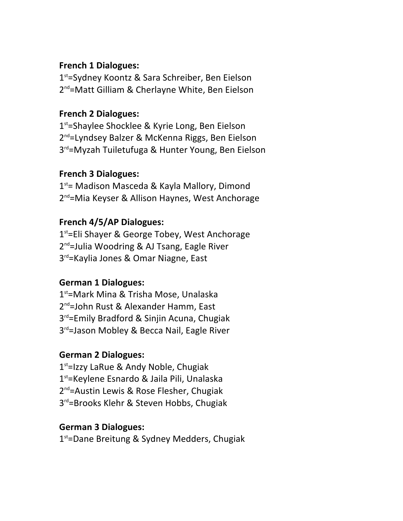### **French 1 Dialogues:**

 $1<sup>st</sup>$ =Sydney Koontz & Sara Schreiber, Ben Eielson 2<sup>nd</sup>=Matt Gilliam & Cherlayne White, Ben Eielson

# **French 2 Dialogues:**

1<sup>st</sup>=Shaylee Shocklee & Kyrie Long, Ben Eielson 2<sup>nd</sup>=Lyndsey Balzer & McKenna Riggs, Ben Eielson  $3<sup>rd</sup>$ =Myzah Tuiletufuga & Hunter Young, Ben Eielson

### **French 3 Dialogues:**

 $1<sup>st</sup>$  Madison Masceda & Kayla Mallory, Dimond 2<sup>nd</sup>=Mia Keyser & Allison Haynes, West Anchorage

# **French 4/5/AP Dialogues:**

 $1<sup>st</sup>=Eli$  Shayer & George Tobey, West Anchorage  $2^{nd}$ =Julia Woodring & AJ Tsang, Eagle River  $3<sup>rd</sup>$ =Kaylia Jones & Omar Niagne, East

# **German 1 Dialogues:**

 $1<sup>st</sup>$ =Mark Mina & Trisha Mose, Unalaska  $2^{nd}$ =John Rust & Alexander Hamm, East  $3<sup>rd</sup>$ =Emily Bradford & Sinjin Acuna, Chugiak  $3<sup>rd</sup>$ =Jason Mobley & Becca Nail, Eagle River

# **German 2 Dialogues:**

 $1<sup>st</sup>$ =Izzy LaRue & Andy Noble, Chugiak  $1<sup>st</sup>$ =Keylene Esnardo & Jaila Pili, Unalaska  $2^{nd}$ =Austin Lewis & Rose Flesher, Chugiak  $3<sup>rd</sup>$ =Brooks Klehr & Steven Hobbs, Chugiak

### **German 3 Dialogues:**

1<sup>st</sup>=Dane Breitung & Sydney Medders, Chugiak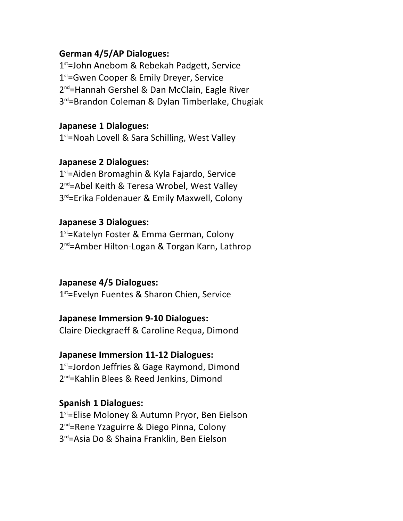### **German 4/5/AP Dialogues:**

 $1<sup>st</sup>=$ John Anebom & Rebekah Padgett, Service  $1<sup>st</sup>$ =Gwen Cooper & Emily Dreyer, Service 2<sup>nd</sup>=Hannah Gershel & Dan McClain, Eagle River  $3<sup>rd</sup>$ =Brandon Coleman & Dylan Timberlake, Chugiak

### **Japanese 1 Dialogues:**

 $1<sup>st</sup>$ =Noah Lovell & Sara Schilling, West Valley

#### **Japanese 2 Dialogues:**

 $1<sup>st</sup>$ =Aiden Bromaghin & Kyla Fajardo, Service 2<sup>nd</sup>=Abel Keith & Teresa Wrobel, West Valley  $3^{rd}$ =Erika Foldenauer & Emily Maxwell, Colony

#### **Japanese 3 Dialogues:**

1<sup>st</sup>=Katelyn Foster & Emma German, Colony 2<sup>nd</sup>=Amber Hilton-Logan & Torgan Karn, Lathrop

#### **Japanese 4/5 Dialogues:**

 $1<sup>st</sup>$ =Evelyn Fuentes & Sharon Chien, Service

#### **Japanese Immersion 9-10 Dialogues:**

Claire Dieckgraeff & Caroline Requa, Dimond

# **Japanese Immersion 11-12 Dialogues:**

 $1<sup>st</sup>$ =Jordon Jeffries & Gage Raymond, Dimond 2<sup>nd</sup>=Kahlin Blees & Reed Jenkins, Dimond

#### **Spanish 1 Dialogues:**

1<sup>st</sup>=Elise Moloney & Autumn Pryor, Ben Eielson 2<sup>nd</sup>=Rene Yzaguirre & Diego Pinna, Colony  $3<sup>rd</sup>$ =Asia Do & Shaina Franklin, Ben Eielson